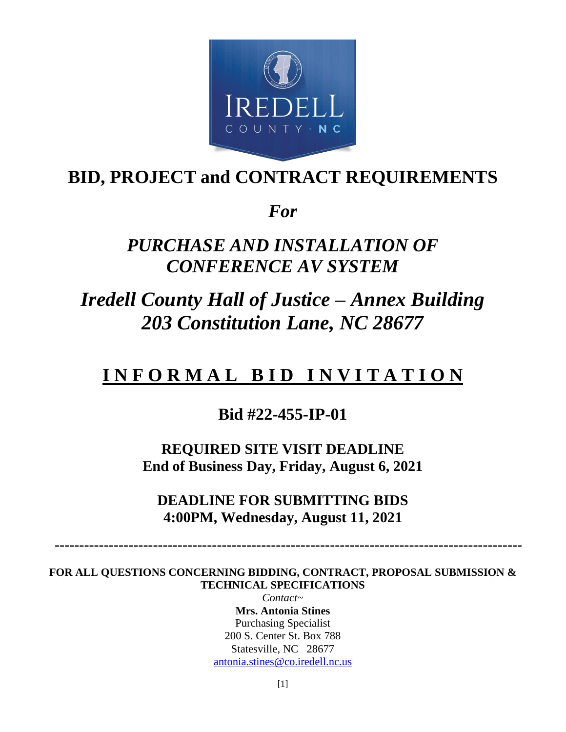

# **BID, PROJECT and CONTRACT REQUIREMENTS**

*For*

# *PURCHASE AND INSTALLATION OF CONFERENCE AV SYSTEM*

*Iredell County Hall of Justice – Annex Building 203 Constitution Lane, NC 28677*

# **I N F O R M A L B I D I N V I T A T I O N**

# **Bid #22-455-IP-01**

**REQUIRED SITE VISIT DEADLINE End of Business Day, Friday, August 6, 2021**

**DEADLINE FOR SUBMITTING BIDS 4:00PM, Wednesday, August 11, 2021**

 **-----------------------------------------------------------------------------------------------**

**FOR ALL QUESTIONS CONCERNING BIDDING, CONTRACT, PROPOSAL SUBMISSION & TECHNICAL SPECIFICATIONS** 

> *Contact~* **Mrs. Antonia Stines** Purchasing Specialist 200 S. Center St. Box 788 Statesville, NC 28677 [antonia.stines@co.iredell.nc.us](mailto:antonia.stines@co.iredell.nc.us)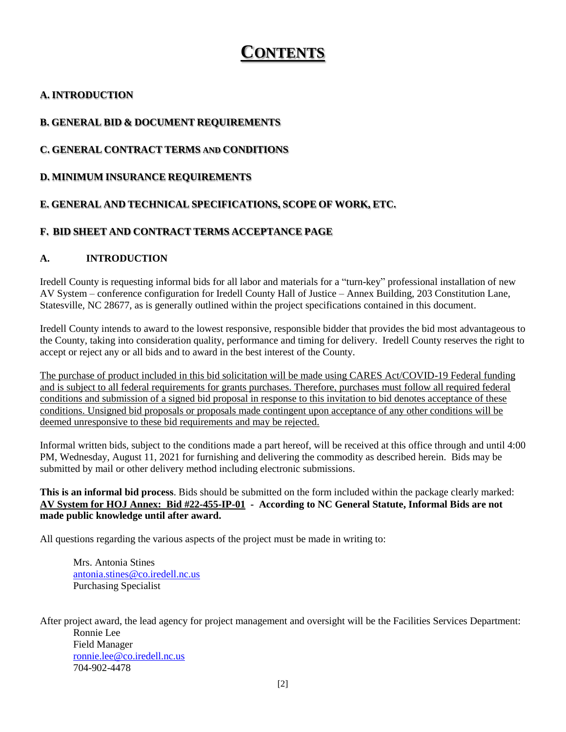# **CONTENTS**

# **A. INTRODUCTION**

# **B. GENERAL BID & DOCUMENT REQUIREMENTS**

# **C. GENERAL CONTRACT TERMS AND CONDITIONS**

#### **D. MINIMUM INSURANCE REQUIREMENTS**

### **E. GENERAL AND TECHNICAL SPECIFICATIONS, SCOPE OF WORK, ETC.**

### **F. BID SHEET AND CONTRACT TERMS ACCEPTANCE PAGE**

#### **A. INTRODUCTION**

Iredell County is requesting informal bids for all labor and materials for a "turn-key" professional installation of new AV System – conference configuration for Iredell County Hall of Justice – Annex Building, 203 Constitution Lane, Statesville, NC 28677, as is generally outlined within the project specifications contained in this document.

Iredell County intends to award to the lowest responsive, responsible bidder that provides the bid most advantageous to the County, taking into consideration quality, performance and timing for delivery. Iredell County reserves the right to accept or reject any or all bids and to award in the best interest of the County.

The purchase of product included in this bid solicitation will be made using CARES Act/COVID-19 Federal funding and is subject to all federal requirements for grants purchases. Therefore, purchases must follow all required federal conditions and submission of a signed bid proposal in response to this invitation to bid denotes acceptance of these conditions. Unsigned bid proposals or proposals made contingent upon acceptance of any other conditions will be deemed unresponsive to these bid requirements and may be rejected.

Informal written bids, subject to the conditions made a part hereof, will be received at this office through and until 4:00 PM, Wednesday, August 11, 2021 for furnishing and delivering the commodity as described herein. Bids may be submitted by mail or other delivery method including electronic submissions.

#### **This is an informal bid process**. Bids should be submitted on the form included within the package clearly marked: **AV System for HOJ Annex: Bid #22-455-IP-01 - According to NC General Statute, Informal Bids are not made public knowledge until after award.**

All questions regarding the various aspects of the project must be made in writing to:

Mrs. Antonia Stines [antonia.stines@co.iredell.nc.us](mailto:antonia.stines@co.iredell.nc.us) Purchasing Specialist

After project award, the lead agency for project management and oversight will be the Facilities Services Department: Ronnie Lee Field Manager [ronnie.lee@co.iredell.nc.us](mailto:ronnie.lee@co.iredell.nc.us) 704-902-4478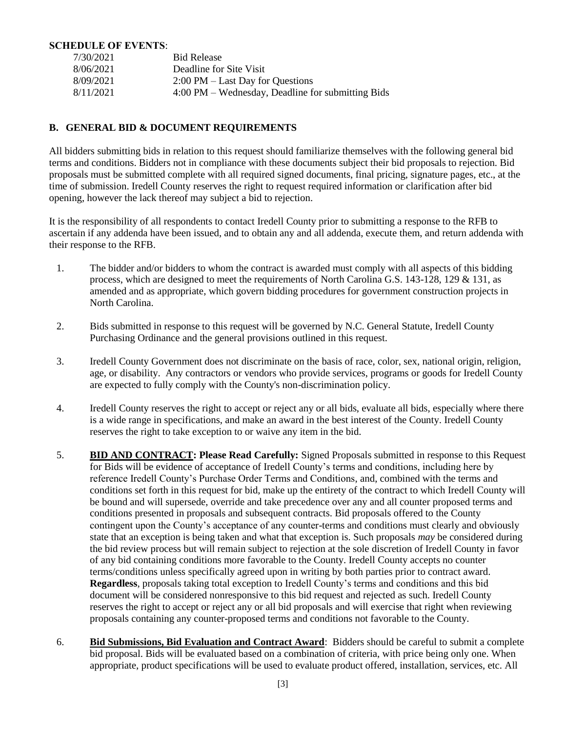#### **SCHEDULE OF EVENTS**:

| 7/30/2021 | <b>Bid Release</b>                                |
|-----------|---------------------------------------------------|
| 8/06/2021 | Deadline for Site Visit                           |
| 8/09/2021 | $2:00 \text{ PM} - \text{Last Day}$ for Questions |
| 8/11/2021 | 4:00 PM – Wednesday, Deadline for submitting Bids |

#### **B. GENERAL BID & DOCUMENT REQUIREMENTS**

All bidders submitting bids in relation to this request should familiarize themselves with the following general bid terms and conditions. Bidders not in compliance with these documents subject their bid proposals to rejection. Bid proposals must be submitted complete with all required signed documents, final pricing, signature pages, etc., at the time of submission. Iredell County reserves the right to request required information or clarification after bid opening, however the lack thereof may subject a bid to rejection.

It is the responsibility of all respondents to contact Iredell County prior to submitting a response to the RFB to ascertain if any addenda have been issued, and to obtain any and all addenda, execute them, and return addenda with their response to the RFB.

- 1. The bidder and/or bidders to whom the contract is awarded must comply with all aspects of this bidding process, which are designed to meet the requirements of North Carolina G.S. 143-128, 129 & 131, as amended and as appropriate, which govern bidding procedures for government construction projects in North Carolina.
- 2. Bids submitted in response to this request will be governed by N.C. General Statute, Iredell County Purchasing Ordinance and the general provisions outlined in this request.
- 3. Iredell County Government does not discriminate on the basis of race, color, sex, national origin, religion, age, or disability. Any contractors or vendors who provide services, programs or goods for Iredell County are expected to fully comply with the County's non-discrimination policy.
- 4. Iredell County reserves the right to accept or reject any or all bids, evaluate all bids, especially where there is a wide range in specifications, and make an award in the best interest of the County. Iredell County reserves the right to take exception to or waive any item in the bid.
- 5. **BID AND CONTRACT: Please Read Carefully:** Signed Proposals submitted in response to this Request for Bids will be evidence of acceptance of Iredell County's terms and conditions, including here by reference Iredell County's Purchase Order Terms and Conditions, and, combined with the terms and conditions set forth in this request for bid, make up the entirety of the contract to which Iredell County will be bound and will supersede, override and take precedence over any and all counter proposed terms and conditions presented in proposals and subsequent contracts. Bid proposals offered to the County contingent upon the County's acceptance of any counter-terms and conditions must clearly and obviously state that an exception is being taken and what that exception is. Such proposals *may* be considered during the bid review process but will remain subject to rejection at the sole discretion of Iredell County in favor of any bid containing conditions more favorable to the County. Iredell County accepts no counter terms/conditions unless specifically agreed upon in writing by both parties prior to contract award. **Regardless**, proposals taking total exception to Iredell County's terms and conditions and this bid document will be considered nonresponsive to this bid request and rejected as such. Iredell County reserves the right to accept or reject any or all bid proposals and will exercise that right when reviewing proposals containing any counter-proposed terms and conditions not favorable to the County.
- 6. **Bid Submissions, Bid Evaluation and Contract Award**: Bidders should be careful to submit a complete bid proposal. Bids will be evaluated based on a combination of criteria, with price being only one. When appropriate, product specifications will be used to evaluate product offered, installation, services, etc. All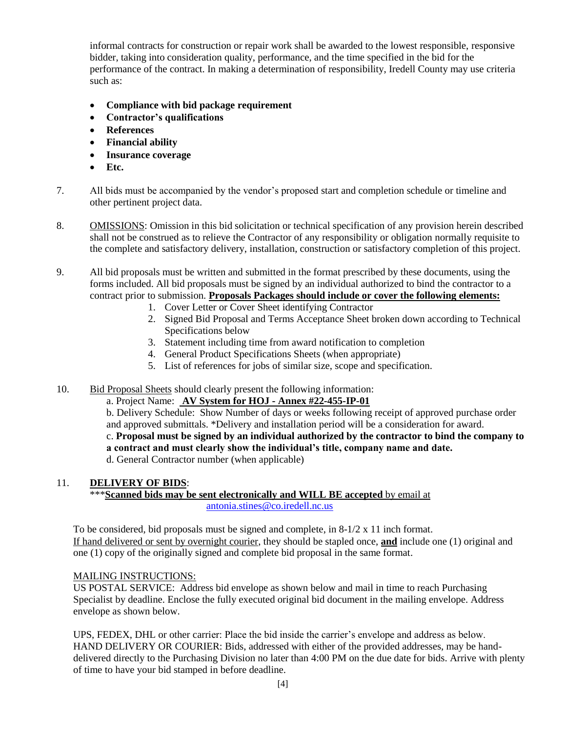informal contracts for construction or repair work shall be awarded to the lowest responsible, responsive bidder, taking into consideration quality, performance, and the time specified in the bid for the performance of the contract. In making a determination of responsibility, Iredell County may use criteria such as:

- **Compliance with bid package requirement**
- **Contractor's qualifications**
- **References**
- **Financial ability**
- **Insurance coverage**
- **Etc.**
- 7. All bids must be accompanied by the vendor's proposed start and completion schedule or timeline and other pertinent project data.
- 8. OMISSIONS: Omission in this bid solicitation or technical specification of any provision herein described shall not be construed as to relieve the Contractor of any responsibility or obligation normally requisite to the complete and satisfactory delivery, installation, construction or satisfactory completion of this project.
- 9. All bid proposals must be written and submitted in the format prescribed by these documents, using the forms included. All bid proposals must be signed by an individual authorized to bind the contractor to a contract prior to submission. **Proposals Packages should include or cover the following elements:**
	- 1. Cover Letter or Cover Sheet identifying Contractor
	- 2. Signed Bid Proposal and Terms Acceptance Sheet broken down according to Technical Specifications below
	- 3. Statement including time from award notification to completion
	- 4. General Product Specifications Sheets (when appropriate)
	- 5. List of references for jobs of similar size, scope and specification.
- 10. Bid Proposal Sheets should clearly present the following information:

a. Project Name: **AV System for HOJ - Annex #22-455-IP-01** 

b. Delivery Schedule: Show Number of days or weeks following receipt of approved purchase order and approved submittals. \*Delivery and installation period will be a consideration for award. c. **Proposal must be signed by an individual authorized by the contractor to bind the company to a contract and must clearly show the individual's title, company name and date.** d. General Contractor number (when applicable)

#### 11. **DELIVERY OF BIDS**:

#### \*\*\***Scanned bids may be sent electronically and WILL BE accepted** by email at [antonia.stines@co.iredell.nc.us](mailto:antonia.stines@co.iredell.nc.us)

To be considered, bid proposals must be signed and complete, in  $8-1/2 \times 11$  inch format. If hand delivered or sent by overnight courier, they should be stapled once, **and** include one (1) original and one (1) copy of the originally signed and complete bid proposal in the same format.

#### MAILING INSTRUCTIONS:

US POSTAL SERVICE: Address bid envelope as shown below and mail in time to reach Purchasing Specialist by deadline. Enclose the fully executed original bid document in the mailing envelope. Address envelope as shown below.

UPS, FEDEX, DHL or other carrier: Place the bid inside the carrier's envelope and address as below. HAND DELIVERY OR COURIER: Bids, addressed with either of the provided addresses, may be handdelivered directly to the Purchasing Division no later than 4:00 PM on the due date for bids. Arrive with plenty of time to have your bid stamped in before deadline.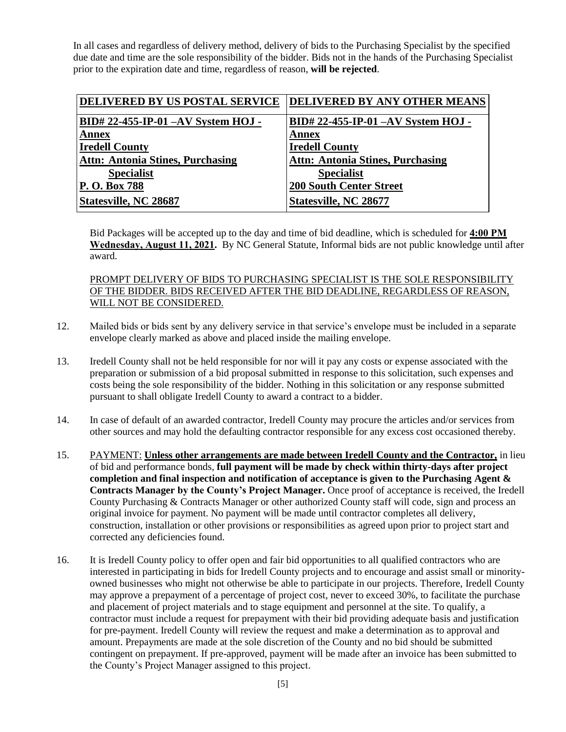In all cases and regardless of delivery method, delivery of bids to the Purchasing Specialist by the specified due date and time are the sole responsibility of the bidder. Bids not in the hands of the Purchasing Specialist prior to the expiration date and time, regardless of reason, **will be rejected**.

| DELIVERED BY US POSTAL SERVICE          | <b>DELIVERED BY ANY OTHER MEANS</b>     |
|-----------------------------------------|-----------------------------------------|
| BID# 22-455-IP-01 -AV System HOJ -      | BID# 22-455-IP-01 -AV System HOJ -      |
| <b>Annex</b>                            | <b>Annex</b>                            |
| <b>Iredell County</b>                   | <b>Iredell County</b>                   |
| <b>Attn: Antonia Stines, Purchasing</b> | <b>Attn: Antonia Stines, Purchasing</b> |
| <b>Specialist</b>                       | <b>Specialist</b>                       |
| P. O. Box 788                           | <b>200 South Center Street</b>          |
| Statesville, NC 28687                   | <b>Statesville, NC 28677</b>            |

Bid Packages will be accepted up to the day and time of bid deadline, which is scheduled for **4:00 PM Wednesday, August 11, 2021.** By NC General Statute, Informal bids are not public knowledge until after award.

#### PROMPT DELIVERY OF BIDS TO PURCHASING SPECIALIST IS THE SOLE RESPONSIBILITY OF THE BIDDER. BIDS RECEIVED AFTER THE BID DEADLINE, REGARDLESS OF REASON, WILL NOT BE CONSIDERED.

- 12. Mailed bids or bids sent by any delivery service in that service's envelope must be included in a separate envelope clearly marked as above and placed inside the mailing envelope.
- 13. Iredell County shall not be held responsible for nor will it pay any costs or expense associated with the preparation or submission of a bid proposal submitted in response to this solicitation, such expenses and costs being the sole responsibility of the bidder. Nothing in this solicitation or any response submitted pursuant to shall obligate Iredell County to award a contract to a bidder.
- 14. In case of default of an awarded contractor, Iredell County may procure the articles and/or services from other sources and may hold the defaulting contractor responsible for any excess cost occasioned thereby.
- 15. PAYMENT: **Unless other arrangements are made between Iredell County and the Contractor,** in lieu of bid and performance bonds, **full payment will be made by check within thirty-days after project completion and final inspection and notification of acceptance is given to the Purchasing Agent & Contracts Manager by the County's Project Manager.** Once proof of acceptance is received, the Iredell County Purchasing & Contracts Manager or other authorized County staff will code, sign and process an original invoice for payment. No payment will be made until contractor completes all delivery, construction, installation or other provisions or responsibilities as agreed upon prior to project start and corrected any deficiencies found.
- 16. It is Iredell County policy to offer open and fair bid opportunities to all qualified contractors who are interested in participating in bids for Iredell County projects and to encourage and assist small or minorityowned businesses who might not otherwise be able to participate in our projects. Therefore, Iredell County may approve a prepayment of a percentage of project cost, never to exceed 30%, to facilitate the purchase and placement of project materials and to stage equipment and personnel at the site. To qualify, a contractor must include a request for prepayment with their bid providing adequate basis and justification for pre-payment. Iredell County will review the request and make a determination as to approval and amount. Prepayments are made at the sole discretion of the County and no bid should be submitted contingent on prepayment. If pre-approved, payment will be made after an invoice has been submitted to the County's Project Manager assigned to this project.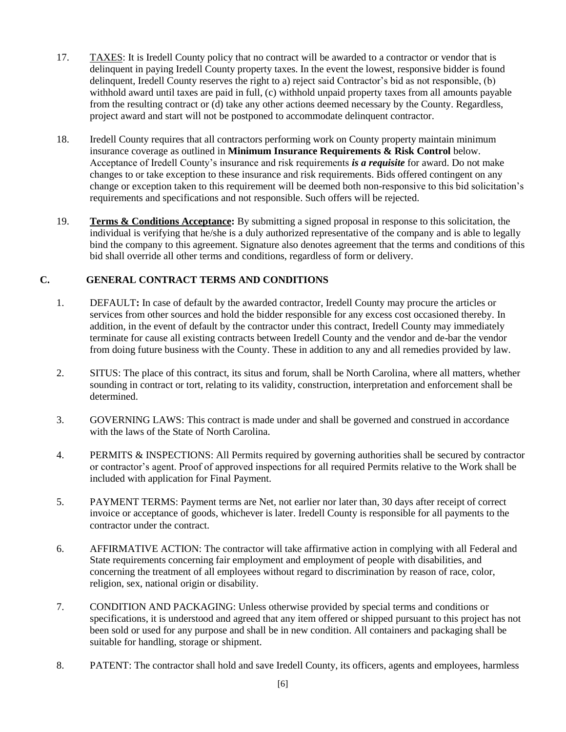- 17. TAXES: It is Iredell County policy that no contract will be awarded to a contractor or vendor that is delinquent in paying Iredell County property taxes. In the event the lowest, responsive bidder is found delinquent, Iredell County reserves the right to a) reject said Contractor's bid as not responsible, (b) withhold award until taxes are paid in full, (c) withhold unpaid property taxes from all amounts payable from the resulting contract or (d) take any other actions deemed necessary by the County. Regardless, project award and start will not be postponed to accommodate delinquent contractor.
- 18. Iredell County requires that all contractors performing work on County property maintain minimum insurance coverage as outlined in **Minimum Insurance Requirements & Risk Control** below. Acceptance of Iredell County's insurance and risk requirements *is a requisite* for award. Do not make changes to or take exception to these insurance and risk requirements. Bids offered contingent on any change or exception taken to this requirement will be deemed both non-responsive to this bid solicitation's requirements and specifications and not responsible. Such offers will be rejected.
- 19. **Terms & Conditions Acceptance:** By submitting a signed proposal in response to this solicitation, the individual is verifying that he/she is a duly authorized representative of the company and is able to legally bind the company to this agreement. Signature also denotes agreement that the terms and conditions of this bid shall override all other terms and conditions, regardless of form or delivery.

#### **C. GENERAL CONTRACT TERMS AND CONDITIONS**

- 1. DEFAULT**:** In case of default by the awarded contractor, Iredell County may procure the articles or services from other sources and hold the bidder responsible for any excess cost occasioned thereby. In addition, in the event of default by the contractor under this contract, Iredell County may immediately terminate for cause all existing contracts between Iredell County and the vendor and de-bar the vendor from doing future business with the County. These in addition to any and all remedies provided by law.
- 2. SITUS: The place of this contract, its situs and forum, shall be North Carolina, where all matters, whether sounding in contract or tort, relating to its validity, construction, interpretation and enforcement shall be determined.
- 3. GOVERNING LAWS: This contract is made under and shall be governed and construed in accordance with the laws of the State of North Carolina.
- 4. PERMITS & INSPECTIONS: All Permits required by governing authorities shall be secured by contractor or contractor's agent. Proof of approved inspections for all required Permits relative to the Work shall be included with application for Final Payment.
- 5. PAYMENT TERMS: Payment terms are Net, not earlier nor later than, 30 days after receipt of correct invoice or acceptance of goods, whichever is later. Iredell County is responsible for all payments to the contractor under the contract.
- 6. AFFIRMATIVE ACTION: The contractor will take affirmative action in complying with all Federal and State requirements concerning fair employment and employment of people with disabilities, and concerning the treatment of all employees without regard to discrimination by reason of race, color, religion, sex, national origin or disability.
- 7. CONDITION AND PACKAGING: Unless otherwise provided by special terms and conditions or specifications, it is understood and agreed that any item offered or shipped pursuant to this project has not been sold or used for any purpose and shall be in new condition. All containers and packaging shall be suitable for handling, storage or shipment.
- 8. PATENT: The contractor shall hold and save Iredell County, its officers, agents and employees, harmless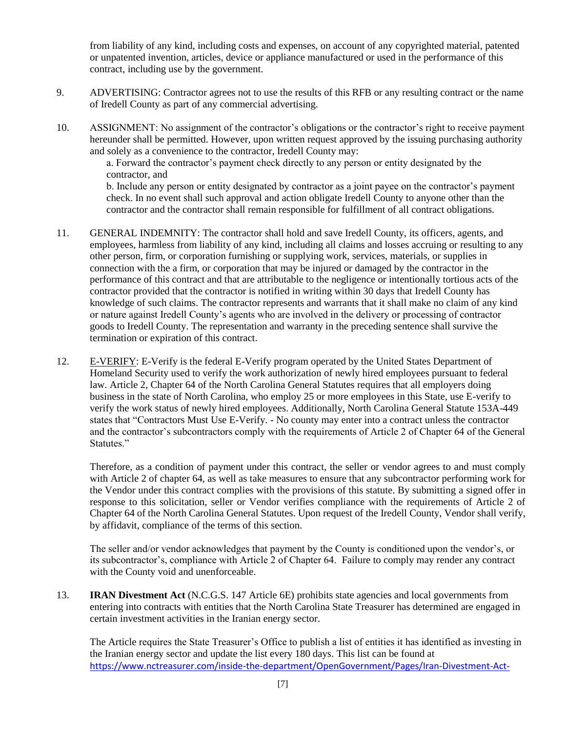from liability of any kind, including costs and expenses, on account of any copyrighted material, patented or unpatented invention, articles, device or appliance manufactured or used in the performance of this contract, including use by the government.

- 9. ADVERTISING: Contractor agrees not to use the results of this RFB or any resulting contract or the name of Iredell County as part of any commercial advertising.
- 10. ASSIGNMENT: No assignment of the contractor's obligations or the contractor's right to receive payment hereunder shall be permitted. However, upon written request approved by the issuing purchasing authority and solely as a convenience to the contractor, Iredell County may:

a. Forward the contractor's payment check directly to any person or entity designated by the contractor, and

b. Include any person or entity designated by contractor as a joint payee on the contractor's payment check. In no event shall such approval and action obligate Iredell County to anyone other than the contractor and the contractor shall remain responsible for fulfillment of all contract obligations.

- 11. GENERAL INDEMNITY: The contractor shall hold and save Iredell County, its officers, agents, and employees, harmless from liability of any kind, including all claims and losses accruing or resulting to any other person, firm, or corporation furnishing or supplying work, services, materials, or supplies in connection with the a firm, or corporation that may be injured or damaged by the contractor in the performance of this contract and that are attributable to the negligence or intentionally tortious acts of the contractor provided that the contractor is notified in writing within 30 days that Iredell County has knowledge of such claims. The contractor represents and warrants that it shall make no claim of any kind or nature against Iredell County's agents who are involved in the delivery or processing of contractor goods to Iredell County. The representation and warranty in the preceding sentence shall survive the termination or expiration of this contract.
- 12. E-VERIFY: E-Verify is the federal E-Verify program operated by the United States Department of Homeland Security used to verify the work authorization of newly hired employees pursuant to federal law. Article 2, Chapter 64 of the North Carolina General Statutes requires that all employers doing business in the state of North Carolina, who employ 25 or more employees in this State, use E-verify to verify the work status of newly hired employees. Additionally, North Carolina General Statute 153A-449 states that "Contractors Must Use E-Verify. - No county may enter into a contract unless the contractor and the contractor's subcontractors comply with the requirements of Article 2 of Chapter 64 of the General Statutes."

Therefore, as a condition of payment under this contract, the seller or vendor agrees to and must comply with Article 2 of chapter 64, as well as take measures to ensure that any subcontractor performing work for the Vendor under this contract complies with the provisions of this statute. By submitting a signed offer in response to this solicitation, seller or Vendor verifies compliance with the requirements of Article 2 of Chapter 64 of the North Carolina General Statutes. Upon request of the Iredell County, Vendor shall verify, by affidavit, compliance of the terms of this section.

The seller and/or vendor acknowledges that payment by the County is conditioned upon the vendor's, or its subcontractor's, compliance with Article 2 of Chapter 64. Failure to comply may render any contract with the County void and unenforceable.

13. **IRAN Divestment Act** (N.C.G.S. 147 Article 6E) prohibits state agencies and local governments from entering into contracts with entities that the North Carolina State Treasurer has determined are engaged in certain investment activities in the Iranian energy sector.

The Article requires the State Treasurer's Office to publish a list of entities it has identified as investing in the Iranian energy sector and update the list every 180 days. This list can be found at [https://www.nctreasurer.com/inside-the-department/OpenGovernment/Pages/Iran-Divestment-Act-](https://www.nctreasurer.com/inside-the-department/OpenGovernment/Pages/Iran-Divestment-Act-Resources.aspx)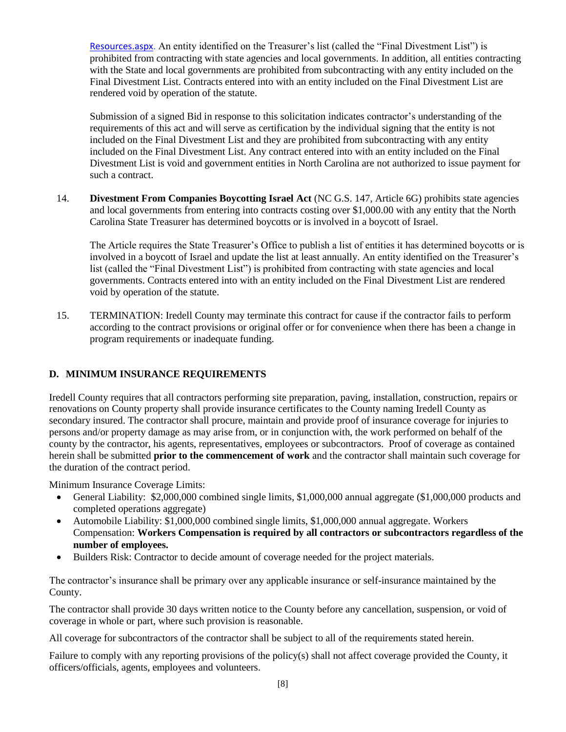[Resources.aspx.](https://www.nctreasurer.com/inside-the-department/OpenGovernment/Pages/Iran-Divestment-Act-Resources.aspx) An entity identified on the Treasurer's list (called the "Final Divestment List") is prohibited from contracting with state agencies and local governments. In addition, all entities contracting with the State and local governments are prohibited from subcontracting with any entity included on the Final Divestment List. Contracts entered into with an entity included on the Final Divestment List are rendered void by operation of the statute.

Submission of a signed Bid in response to this solicitation indicates contractor's understanding of the requirements of this act and will serve as certification by the individual signing that the entity is not included on the Final Divestment List and they are prohibited from subcontracting with any entity included on the Final Divestment List. Any contract entered into with an entity included on the Final Divestment List is void and government entities in North Carolina are not authorized to issue payment for such a contract.

14. **Divestment From Companies Boycotting Israel Act** (NC G.S. 147, Article 6G) prohibits state agencies and local governments from entering into contracts costing over \$1,000.00 with any entity that the North Carolina State Treasurer has determined boycotts or is involved in a boycott of Israel.

The Article requires the State Treasurer's Office to publish a list of entities it has determined boycotts or is involved in a boycott of Israel and update the list at least annually. An entity identified on the Treasurer's list (called the "Final Divestment List") is prohibited from contracting with state agencies and local governments. Contracts entered into with an entity included on the Final Divestment List are rendered void by operation of the statute.

15. TERMINATION: Iredell County may terminate this contract for cause if the contractor fails to perform according to the contract provisions or original offer or for convenience when there has been a change in program requirements or inadequate funding.

#### **D. MINIMUM INSURANCE REQUIREMENTS**

Iredell County requires that all contractors performing site preparation, paving, installation, construction, repairs or renovations on County property shall provide insurance certificates to the County naming Iredell County as secondary insured. The contractor shall procure, maintain and provide proof of insurance coverage for injuries to persons and/or property damage as may arise from, or in conjunction with, the work performed on behalf of the county by the contractor, his agents, representatives, employees or subcontractors. Proof of coverage as contained herein shall be submitted **prior to the commencement of work** and the contractor shall maintain such coverage for the duration of the contract period.

Minimum Insurance Coverage Limits:

- General Liability: \$2,000,000 combined single limits, \$1,000,000 annual aggregate (\$1,000,000 products and completed operations aggregate)
- Automobile Liability: \$1,000,000 combined single limits, \$1,000,000 annual aggregate. Workers Compensation: **Workers Compensation is required by all contractors or subcontractors regardless of the number of employees.**
- Builders Risk: Contractor to decide amount of coverage needed for the project materials.

The contractor's insurance shall be primary over any applicable insurance or self-insurance maintained by the County.

The contractor shall provide 30 days written notice to the County before any cancellation, suspension, or void of coverage in whole or part, where such provision is reasonable.

All coverage for subcontractors of the contractor shall be subject to all of the requirements stated herein.

Failure to comply with any reporting provisions of the policy(s) shall not affect coverage provided the County, it officers/officials, agents, employees and volunteers.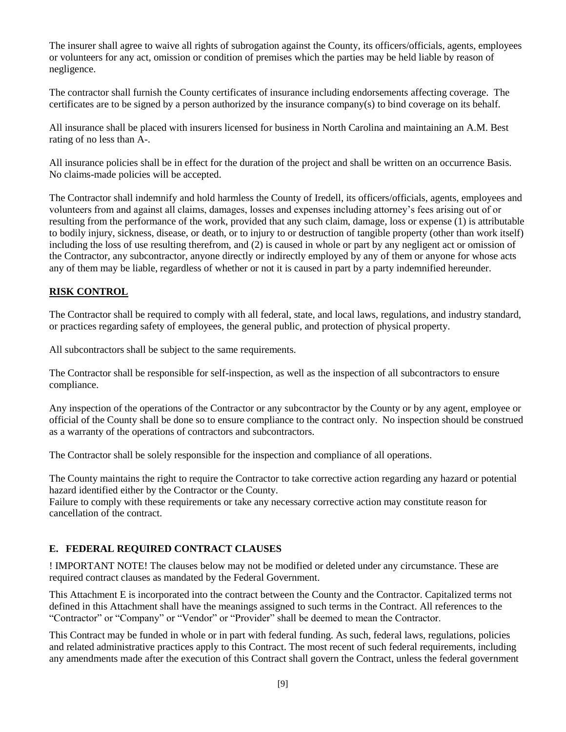The insurer shall agree to waive all rights of subrogation against the County, its officers/officials, agents, employees or volunteers for any act, omission or condition of premises which the parties may be held liable by reason of negligence.

The contractor shall furnish the County certificates of insurance including endorsements affecting coverage. The certificates are to be signed by a person authorized by the insurance company(s) to bind coverage on its behalf.

All insurance shall be placed with insurers licensed for business in North Carolina and maintaining an A.M. Best rating of no less than A-.

All insurance policies shall be in effect for the duration of the project and shall be written on an occurrence Basis. No claims-made policies will be accepted.

The Contractor shall indemnify and hold harmless the County of Iredell, its officers/officials, agents, employees and volunteers from and against all claims, damages, losses and expenses including attorney's fees arising out of or resulting from the performance of the work, provided that any such claim, damage, loss or expense (1) is attributable to bodily injury, sickness, disease, or death, or to injury to or destruction of tangible property (other than work itself) including the loss of use resulting therefrom, and (2) is caused in whole or part by any negligent act or omission of the Contractor, any subcontractor, anyone directly or indirectly employed by any of them or anyone for whose acts any of them may be liable, regardless of whether or not it is caused in part by a party indemnified hereunder.

### **RISK CONTROL**

The Contractor shall be required to comply with all federal, state, and local laws, regulations, and industry standard, or practices regarding safety of employees, the general public, and protection of physical property.

All subcontractors shall be subject to the same requirements.

The Contractor shall be responsible for self-inspection, as well as the inspection of all subcontractors to ensure compliance.

Any inspection of the operations of the Contractor or any subcontractor by the County or by any agent, employee or official of the County shall be done so to ensure compliance to the contract only. No inspection should be construed as a warranty of the operations of contractors and subcontractors.

The Contractor shall be solely responsible for the inspection and compliance of all operations.

The County maintains the right to require the Contractor to take corrective action regarding any hazard or potential hazard identified either by the Contractor or the County.

Failure to comply with these requirements or take any necessary corrective action may constitute reason for cancellation of the contract.

#### **E. FEDERAL REQUIRED CONTRACT CLAUSES**

! IMPORTANT NOTE! The clauses below may not be modified or deleted under any circumstance. These are required contract clauses as mandated by the Federal Government.

This Attachment E is incorporated into the contract between the County and the Contractor. Capitalized terms not defined in this Attachment shall have the meanings assigned to such terms in the Contract. All references to the "Contractor" or "Company" or "Vendor" or "Provider" shall be deemed to mean the Contractor.

This Contract may be funded in whole or in part with federal funding. As such, federal laws, regulations, policies and related administrative practices apply to this Contract. The most recent of such federal requirements, including any amendments made after the execution of this Contract shall govern the Contract, unless the federal government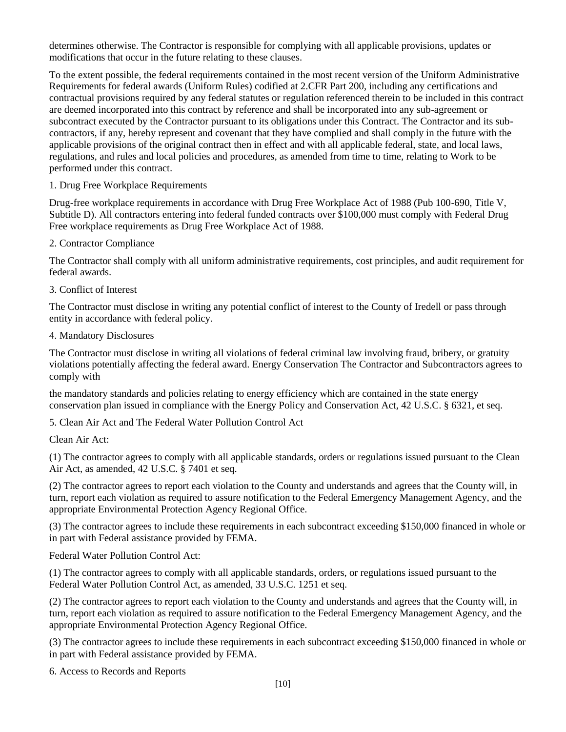determines otherwise. The Contractor is responsible for complying with all applicable provisions, updates or modifications that occur in the future relating to these clauses.

To the extent possible, the federal requirements contained in the most recent version of the Uniform Administrative Requirements for federal awards (Uniform Rules) codified at 2.CFR Part 200, including any certifications and contractual provisions required by any federal statutes or regulation referenced therein to be included in this contract are deemed incorporated into this contract by reference and shall be incorporated into any sub-agreement or subcontract executed by the Contractor pursuant to its obligations under this Contract. The Contractor and its subcontractors, if any, hereby represent and covenant that they have complied and shall comply in the future with the applicable provisions of the original contract then in effect and with all applicable federal, state, and local laws, regulations, and rules and local policies and procedures, as amended from time to time, relating to Work to be performed under this contract.

1. Drug Free Workplace Requirements

Drug-free workplace requirements in accordance with Drug Free Workplace Act of 1988 (Pub 100-690, Title V, Subtitle D). All contractors entering into federal funded contracts over \$100,000 must comply with Federal Drug Free workplace requirements as Drug Free Workplace Act of 1988.

2. Contractor Compliance

The Contractor shall comply with all uniform administrative requirements, cost principles, and audit requirement for federal awards.

3. Conflict of Interest

The Contractor must disclose in writing any potential conflict of interest to the County of Iredell or pass through entity in accordance with federal policy.

4. Mandatory Disclosures

The Contractor must disclose in writing all violations of federal criminal law involving fraud, bribery, or gratuity violations potentially affecting the federal award. Energy Conservation The Contractor and Subcontractors agrees to comply with

the mandatory standards and policies relating to energy efficiency which are contained in the state energy conservation plan issued in compliance with the Energy Policy and Conservation Act, 42 U.S.C. § 6321, et seq.

5. Clean Air Act and The Federal Water Pollution Control Act

Clean Air Act:

(1) The contractor agrees to comply with all applicable standards, orders or regulations issued pursuant to the Clean Air Act, as amended, 42 U.S.C. § 7401 et seq.

(2) The contractor agrees to report each violation to the County and understands and agrees that the County will, in turn, report each violation as required to assure notification to the Federal Emergency Management Agency, and the appropriate Environmental Protection Agency Regional Office.

(3) The contractor agrees to include these requirements in each subcontract exceeding \$150,000 financed in whole or in part with Federal assistance provided by FEMA.

Federal Water Pollution Control Act:

(1) The contractor agrees to comply with all applicable standards, orders, or regulations issued pursuant to the Federal Water Pollution Control Act, as amended, 33 U.S.C. 1251 et seq.

(2) The contractor agrees to report each violation to the County and understands and agrees that the County will, in turn, report each violation as required to assure notification to the Federal Emergency Management Agency, and the appropriate Environmental Protection Agency Regional Office.

(3) The contractor agrees to include these requirements in each subcontract exceeding \$150,000 financed in whole or in part with Federal assistance provided by FEMA.

6. Access to Records and Reports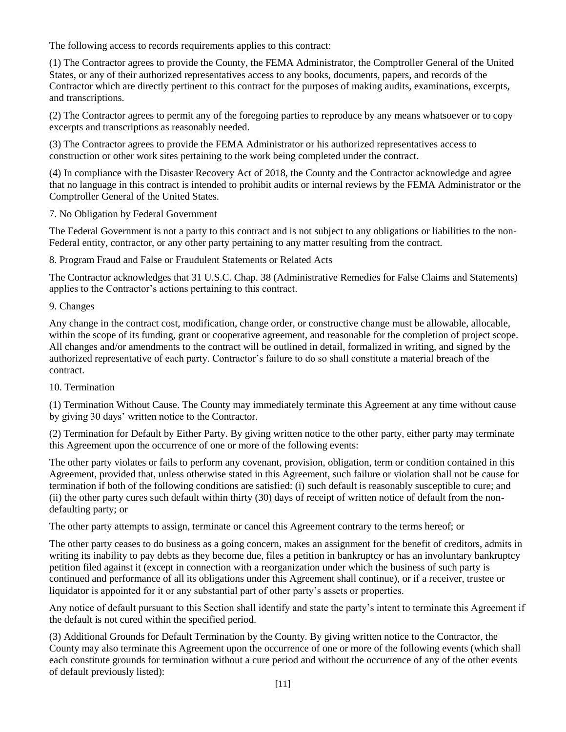The following access to records requirements applies to this contract:

(1) The Contractor agrees to provide the County, the FEMA Administrator, the Comptroller General of the United States, or any of their authorized representatives access to any books, documents, papers, and records of the Contractor which are directly pertinent to this contract for the purposes of making audits, examinations, excerpts, and transcriptions.

(2) The Contractor agrees to permit any of the foregoing parties to reproduce by any means whatsoever or to copy excerpts and transcriptions as reasonably needed.

(3) The Contractor agrees to provide the FEMA Administrator or his authorized representatives access to construction or other work sites pertaining to the work being completed under the contract.

(4) In compliance with the Disaster Recovery Act of 2018, the County and the Contractor acknowledge and agree that no language in this contract is intended to prohibit audits or internal reviews by the FEMA Administrator or the Comptroller General of the United States.

#### 7. No Obligation by Federal Government

The Federal Government is not a party to this contract and is not subject to any obligations or liabilities to the non-Federal entity, contractor, or any other party pertaining to any matter resulting from the contract.

8. Program Fraud and False or Fraudulent Statements or Related Acts

The Contractor acknowledges that 31 U.S.C. Chap. 38 (Administrative Remedies for False Claims and Statements) applies to the Contractor's actions pertaining to this contract.

#### 9. Changes

Any change in the contract cost, modification, change order, or constructive change must be allowable, allocable, within the scope of its funding, grant or cooperative agreement, and reasonable for the completion of project scope. All changes and/or amendments to the contract will be outlined in detail, formalized in writing, and signed by the authorized representative of each party. Contractor's failure to do so shall constitute a material breach of the contract.

#### 10. Termination

(1) Termination Without Cause. The County may immediately terminate this Agreement at any time without cause by giving 30 days' written notice to the Contractor.

(2) Termination for Default by Either Party. By giving written notice to the other party, either party may terminate this Agreement upon the occurrence of one or more of the following events:

The other party violates or fails to perform any covenant, provision, obligation, term or condition contained in this Agreement, provided that, unless otherwise stated in this Agreement, such failure or violation shall not be cause for termination if both of the following conditions are satisfied: (i) such default is reasonably susceptible to cure; and (ii) the other party cures such default within thirty (30) days of receipt of written notice of default from the nondefaulting party; or

The other party attempts to assign, terminate or cancel this Agreement contrary to the terms hereof; or

The other party ceases to do business as a going concern, makes an assignment for the benefit of creditors, admits in writing its inability to pay debts as they become due, files a petition in bankruptcy or has an involuntary bankruptcy petition filed against it (except in connection with a reorganization under which the business of such party is continued and performance of all its obligations under this Agreement shall continue), or if a receiver, trustee or liquidator is appointed for it or any substantial part of other party's assets or properties.

Any notice of default pursuant to this Section shall identify and state the party's intent to terminate this Agreement if the default is not cured within the specified period.

(3) Additional Grounds for Default Termination by the County. By giving written notice to the Contractor, the County may also terminate this Agreement upon the occurrence of one or more of the following events (which shall each constitute grounds for termination without a cure period and without the occurrence of any of the other events of default previously listed):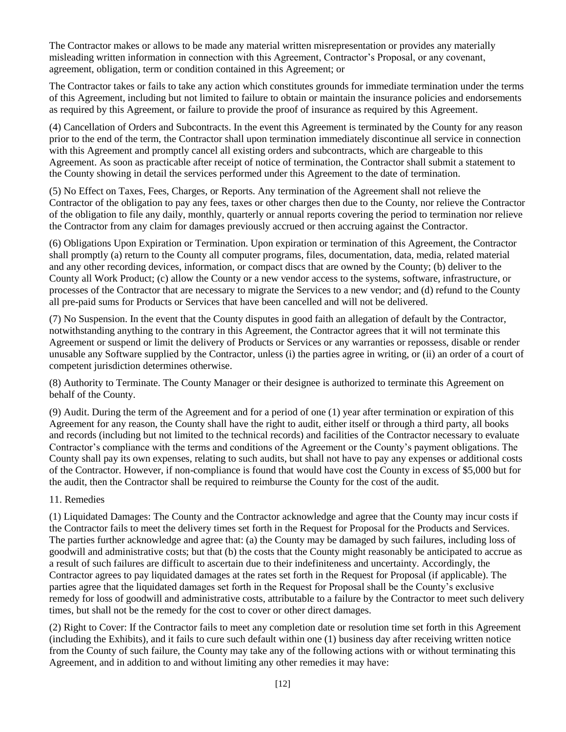The Contractor makes or allows to be made any material written misrepresentation or provides any materially misleading written information in connection with this Agreement, Contractor's Proposal, or any covenant, agreement, obligation, term or condition contained in this Agreement; or

The Contractor takes or fails to take any action which constitutes grounds for immediate termination under the terms of this Agreement, including but not limited to failure to obtain or maintain the insurance policies and endorsements as required by this Agreement, or failure to provide the proof of insurance as required by this Agreement.

(4) Cancellation of Orders and Subcontracts. In the event this Agreement is terminated by the County for any reason prior to the end of the term, the Contractor shall upon termination immediately discontinue all service in connection with this Agreement and promptly cancel all existing orders and subcontracts, which are chargeable to this Agreement. As soon as practicable after receipt of notice of termination, the Contractor shall submit a statement to the County showing in detail the services performed under this Agreement to the date of termination.

(5) No Effect on Taxes, Fees, Charges, or Reports. Any termination of the Agreement shall not relieve the Contractor of the obligation to pay any fees, taxes or other charges then due to the County, nor relieve the Contractor of the obligation to file any daily, monthly, quarterly or annual reports covering the period to termination nor relieve the Contractor from any claim for damages previously accrued or then accruing against the Contractor.

(6) Obligations Upon Expiration or Termination. Upon expiration or termination of this Agreement, the Contractor shall promptly (a) return to the County all computer programs, files, documentation, data, media, related material and any other recording devices, information, or compact discs that are owned by the County; (b) deliver to the County all Work Product; (c) allow the County or a new vendor access to the systems, software, infrastructure, or processes of the Contractor that are necessary to migrate the Services to a new vendor; and (d) refund to the County all pre-paid sums for Products or Services that have been cancelled and will not be delivered.

(7) No Suspension. In the event that the County disputes in good faith an allegation of default by the Contractor, notwithstanding anything to the contrary in this Agreement, the Contractor agrees that it will not terminate this Agreement or suspend or limit the delivery of Products or Services or any warranties or repossess, disable or render unusable any Software supplied by the Contractor, unless (i) the parties agree in writing, or (ii) an order of a court of competent jurisdiction determines otherwise.

(8) Authority to Terminate. The County Manager or their designee is authorized to terminate this Agreement on behalf of the County.

(9) Audit. During the term of the Agreement and for a period of one (1) year after termination or expiration of this Agreement for any reason, the County shall have the right to audit, either itself or through a third party, all books and records (including but not limited to the technical records) and facilities of the Contractor necessary to evaluate Contractor's compliance with the terms and conditions of the Agreement or the County's payment obligations. The County shall pay its own expenses, relating to such audits, but shall not have to pay any expenses or additional costs of the Contractor. However, if non-compliance is found that would have cost the County in excess of \$5,000 but for the audit, then the Contractor shall be required to reimburse the County for the cost of the audit.

#### 11. Remedies

(1) Liquidated Damages: The County and the Contractor acknowledge and agree that the County may incur costs if the Contractor fails to meet the delivery times set forth in the Request for Proposal for the Products and Services. The parties further acknowledge and agree that: (a) the County may be damaged by such failures, including loss of goodwill and administrative costs; but that (b) the costs that the County might reasonably be anticipated to accrue as a result of such failures are difficult to ascertain due to their indefiniteness and uncertainty. Accordingly, the Contractor agrees to pay liquidated damages at the rates set forth in the Request for Proposal (if applicable). The parties agree that the liquidated damages set forth in the Request for Proposal shall be the County's exclusive remedy for loss of goodwill and administrative costs, attributable to a failure by the Contractor to meet such delivery times, but shall not be the remedy for the cost to cover or other direct damages.

(2) Right to Cover: If the Contractor fails to meet any completion date or resolution time set forth in this Agreement (including the Exhibits), and it fails to cure such default within one (1) business day after receiving written notice from the County of such failure, the County may take any of the following actions with or without terminating this Agreement, and in addition to and without limiting any other remedies it may have: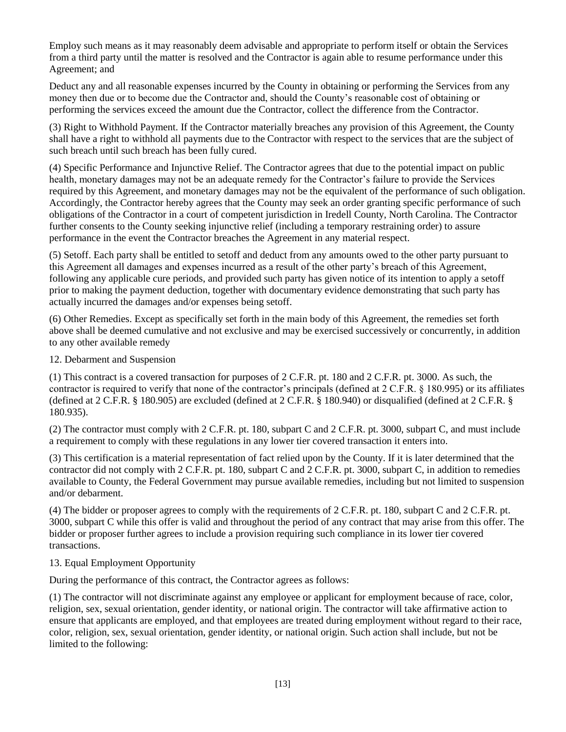Employ such means as it may reasonably deem advisable and appropriate to perform itself or obtain the Services from a third party until the matter is resolved and the Contractor is again able to resume performance under this Agreement; and

Deduct any and all reasonable expenses incurred by the County in obtaining or performing the Services from any money then due or to become due the Contractor and, should the County's reasonable cost of obtaining or performing the services exceed the amount due the Contractor, collect the difference from the Contractor.

(3) Right to Withhold Payment. If the Contractor materially breaches any provision of this Agreement, the County shall have a right to withhold all payments due to the Contractor with respect to the services that are the subject of such breach until such breach has been fully cured.

(4) Specific Performance and Injunctive Relief. The Contractor agrees that due to the potential impact on public health, monetary damages may not be an adequate remedy for the Contractor's failure to provide the Services required by this Agreement, and monetary damages may not be the equivalent of the performance of such obligation. Accordingly, the Contractor hereby agrees that the County may seek an order granting specific performance of such obligations of the Contractor in a court of competent jurisdiction in Iredell County, North Carolina. The Contractor further consents to the County seeking injunctive relief (including a temporary restraining order) to assure performance in the event the Contractor breaches the Agreement in any material respect.

(5) Setoff. Each party shall be entitled to setoff and deduct from any amounts owed to the other party pursuant to this Agreement all damages and expenses incurred as a result of the other party's breach of this Agreement, following any applicable cure periods, and provided such party has given notice of its intention to apply a setoff prior to making the payment deduction, together with documentary evidence demonstrating that such party has actually incurred the damages and/or expenses being setoff.

(6) Other Remedies. Except as specifically set forth in the main body of this Agreement, the remedies set forth above shall be deemed cumulative and not exclusive and may be exercised successively or concurrently, in addition to any other available remedy

12. Debarment and Suspension

(1) This contract is a covered transaction for purposes of 2 C.F.R. pt. 180 and 2 C.F.R. pt. 3000. As such, the contractor is required to verify that none of the contractor's principals (defined at 2 C.F.R. § 180.995) or its affiliates (defined at 2 C.F.R. § 180.905) are excluded (defined at 2 C.F.R. § 180.940) or disqualified (defined at 2 C.F.R. § 180.935).

(2) The contractor must comply with 2 C.F.R. pt. 180, subpart C and 2 C.F.R. pt. 3000, subpart C, and must include a requirement to comply with these regulations in any lower tier covered transaction it enters into.

(3) This certification is a material representation of fact relied upon by the County. If it is later determined that the contractor did not comply with 2 C.F.R. pt. 180, subpart C and 2 C.F.R. pt. 3000, subpart C, in addition to remedies available to County, the Federal Government may pursue available remedies, including but not limited to suspension and/or debarment.

(4) The bidder or proposer agrees to comply with the requirements of 2 C.F.R. pt. 180, subpart C and 2 C.F.R. pt. 3000, subpart C while this offer is valid and throughout the period of any contract that may arise from this offer. The bidder or proposer further agrees to include a provision requiring such compliance in its lower tier covered transactions.

#### 13. Equal Employment Opportunity

During the performance of this contract, the Contractor agrees as follows:

(1) The contractor will not discriminate against any employee or applicant for employment because of race, color, religion, sex, sexual orientation, gender identity, or national origin. The contractor will take affirmative action to ensure that applicants are employed, and that employees are treated during employment without regard to their race, color, religion, sex, sexual orientation, gender identity, or national origin. Such action shall include, but not be limited to the following: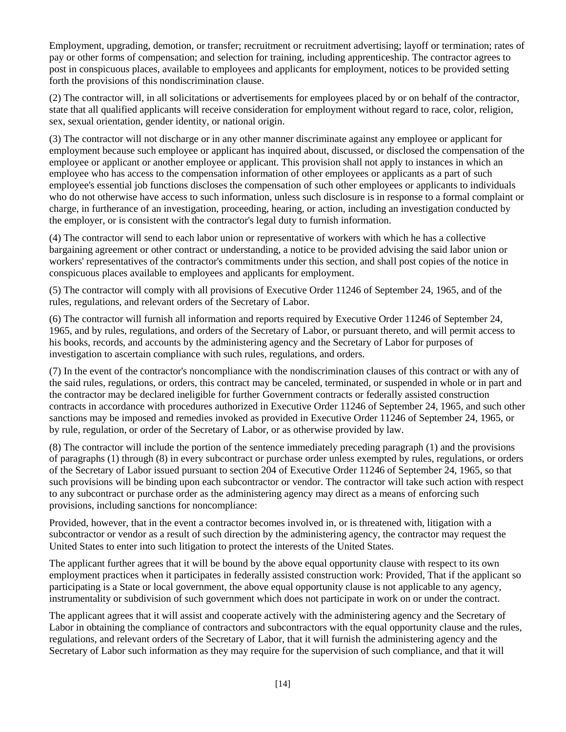Employment, upgrading, demotion, or transfer; recruitment or recruitment advertising; layoff or termination; rates of pay or other forms of compensation; and selection for training, including apprenticeship. The contractor agrees to post in conspicuous places, available to employees and applicants for employment, notices to be provided setting forth the provisions of this nondiscrimination clause.

(2) The contractor will, in all solicitations or advertisements for employees placed by or on behalf of the contractor, state that all qualified applicants will receive consideration for employment without regard to race, color, religion, sex, sexual orientation, gender identity, or national origin.

(3) The contractor will not discharge or in any other manner discriminate against any employee or applicant for employment because such employee or applicant has inquired about, discussed, or disclosed the compensation of the employee or applicant or another employee or applicant. This provision shall not apply to instances in which an employee who has access to the compensation information of other employees or applicants as a part of such employee's essential job functions discloses the compensation of such other employees or applicants to individuals who do not otherwise have access to such information, unless such disclosure is in response to a formal complaint or charge, in furtherance of an investigation, proceeding, hearing, or action, including an investigation conducted by the employer, or is consistent with the contractor's legal duty to furnish information.

(4) The contractor will send to each labor union or representative of workers with which he has a collective bargaining agreement or other contract or understanding, a notice to be provided advising the said labor union or workers' representatives of the contractor's commitments under this section, and shall post copies of the notice in conspicuous places available to employees and applicants for employment.

(5) The contractor will comply with all provisions of Executive Order 11246 of September 24, 1965, and of the rules, regulations, and relevant orders of the Secretary of Labor.

(6) The contractor will furnish all information and reports required by Executive Order 11246 of September 24, 1965, and by rules, regulations, and orders of the Secretary of Labor, or pursuant thereto, and will permit access to his books, records, and accounts by the administering agency and the Secretary of Labor for purposes of investigation to ascertain compliance with such rules, regulations, and orders.

(7) In the event of the contractor's noncompliance with the nondiscrimination clauses of this contract or with any of the said rules, regulations, or orders, this contract may be canceled, terminated, or suspended in whole or in part and the contractor may be declared ineligible for further Government contracts or federally assisted construction contracts in accordance with procedures authorized in Executive Order 11246 of September 24, 1965, and such other sanctions may be imposed and remedies invoked as provided in Executive Order 11246 of September 24, 1965, or by rule, regulation, or order of the Secretary of Labor, or as otherwise provided by law.

(8) The contractor will include the portion of the sentence immediately preceding paragraph (1) and the provisions of paragraphs (1) through (8) in every subcontract or purchase order unless exempted by rules, regulations, or orders of the Secretary of Labor issued pursuant to section 204 of Executive Order 11246 of September 24, 1965, so that such provisions will be binding upon each subcontractor or vendor. The contractor will take such action with respect to any subcontract or purchase order as the administering agency may direct as a means of enforcing such provisions, including sanctions for noncompliance:

Provided, however, that in the event a contractor becomes involved in, or is threatened with, litigation with a subcontractor or vendor as a result of such direction by the administering agency, the contractor may request the United States to enter into such litigation to protect the interests of the United States.

The applicant further agrees that it will be bound by the above equal opportunity clause with respect to its own employment practices when it participates in federally assisted construction work: Provided, That if the applicant so participating is a State or local government, the above equal opportunity clause is not applicable to any agency, instrumentality or subdivision of such government which does not participate in work on or under the contract.

The applicant agrees that it will assist and cooperate actively with the administering agency and the Secretary of Labor in obtaining the compliance of contractors and subcontractors with the equal opportunity clause and the rules, regulations, and relevant orders of the Secretary of Labor, that it will furnish the administering agency and the Secretary of Labor such information as they may require for the supervision of such compliance, and that it will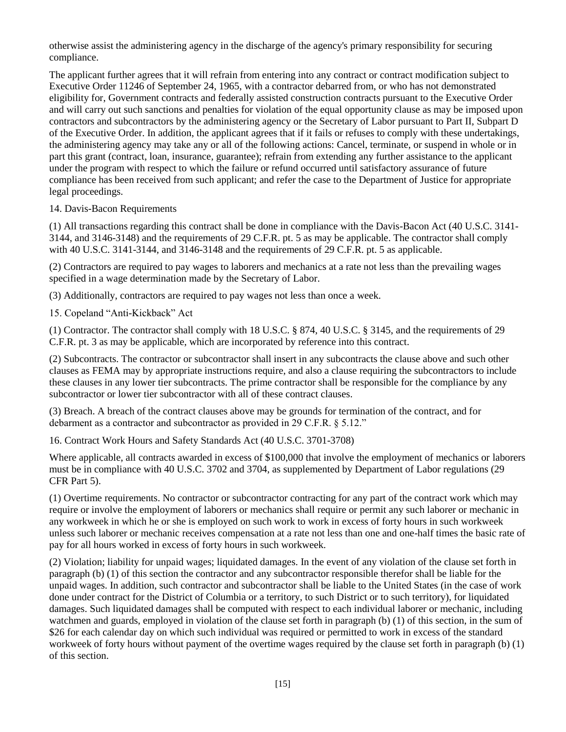otherwise assist the administering agency in the discharge of the agency's primary responsibility for securing compliance.

The applicant further agrees that it will refrain from entering into any contract or contract modification subject to Executive Order 11246 of September 24, 1965, with a contractor debarred from, or who has not demonstrated eligibility for, Government contracts and federally assisted construction contracts pursuant to the Executive Order and will carry out such sanctions and penalties for violation of the equal opportunity clause as may be imposed upon contractors and subcontractors by the administering agency or the Secretary of Labor pursuant to Part II, Subpart D of the Executive Order. In addition, the applicant agrees that if it fails or refuses to comply with these undertakings, the administering agency may take any or all of the following actions: Cancel, terminate, or suspend in whole or in part this grant (contract, loan, insurance, guarantee); refrain from extending any further assistance to the applicant under the program with respect to which the failure or refund occurred until satisfactory assurance of future compliance has been received from such applicant; and refer the case to the Department of Justice for appropriate legal proceedings.

#### 14. Davis-Bacon Requirements

(1) All transactions regarding this contract shall be done in compliance with the Davis-Bacon Act (40 U.S.C. 3141- 3144, and 3146-3148) and the requirements of 29 C.F.R. pt. 5 as may be applicable. The contractor shall comply with 40 U.S.C. 3141-3144, and 3146-3148 and the requirements of 29 C.F.R. pt. 5 as applicable.

(2) Contractors are required to pay wages to laborers and mechanics at a rate not less than the prevailing wages specified in a wage determination made by the Secretary of Labor.

(3) Additionally, contractors are required to pay wages not less than once a week.

15. Copeland "Anti-Kickback" Act

(1) Contractor. The contractor shall comply with 18 U.S.C. § 874, 40 U.S.C. § 3145, and the requirements of 29 C.F.R. pt. 3 as may be applicable, which are incorporated by reference into this contract.

(2) Subcontracts. The contractor or subcontractor shall insert in any subcontracts the clause above and such other clauses as FEMA may by appropriate instructions require, and also a clause requiring the subcontractors to include these clauses in any lower tier subcontracts. The prime contractor shall be responsible for the compliance by any subcontractor or lower tier subcontractor with all of these contract clauses.

(3) Breach. A breach of the contract clauses above may be grounds for termination of the contract, and for debarment as a contractor and subcontractor as provided in 29 C.F.R. § 5.12."

16. Contract Work Hours and Safety Standards Act (40 U.S.C. 3701-3708)

Where applicable, all contracts awarded in excess of \$100,000 that involve the employment of mechanics or laborers must be in compliance with 40 U.S.C. 3702 and 3704, as supplemented by Department of Labor regulations (29 CFR Part 5).

(1) Overtime requirements. No contractor or subcontractor contracting for any part of the contract work which may require or involve the employment of laborers or mechanics shall require or permit any such laborer or mechanic in any workweek in which he or she is employed on such work to work in excess of forty hours in such workweek unless such laborer or mechanic receives compensation at a rate not less than one and one-half times the basic rate of pay for all hours worked in excess of forty hours in such workweek.

(2) Violation; liability for unpaid wages; liquidated damages. In the event of any violation of the clause set forth in paragraph (b) (1) of this section the contractor and any subcontractor responsible therefor shall be liable for the unpaid wages. In addition, such contractor and subcontractor shall be liable to the United States (in the case of work done under contract for the District of Columbia or a territory, to such District or to such territory), for liquidated damages. Such liquidated damages shall be computed with respect to each individual laborer or mechanic, including watchmen and guards, employed in violation of the clause set forth in paragraph (b) (1) of this section, in the sum of \$26 for each calendar day on which such individual was required or permitted to work in excess of the standard workweek of forty hours without payment of the overtime wages required by the clause set forth in paragraph (b) (1) of this section.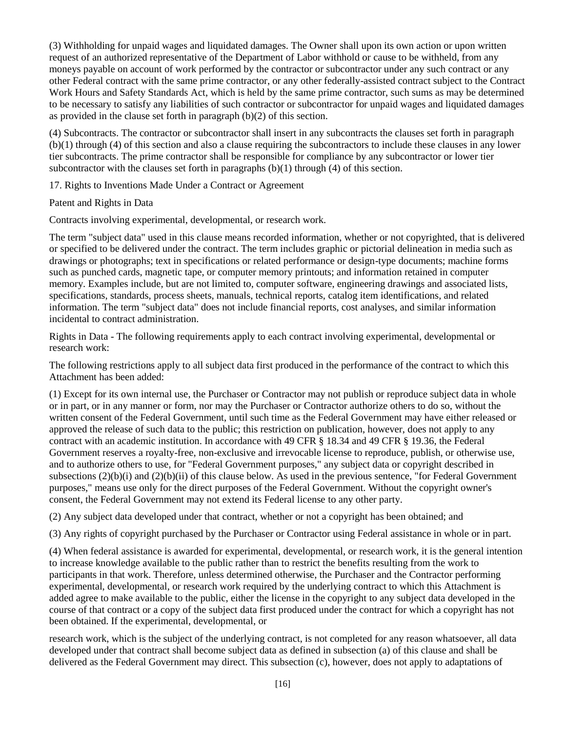(3) Withholding for unpaid wages and liquidated damages. The Owner shall upon its own action or upon written request of an authorized representative of the Department of Labor withhold or cause to be withheld, from any moneys payable on account of work performed by the contractor or subcontractor under any such contract or any other Federal contract with the same prime contractor, or any other federally-assisted contract subject to the Contract Work Hours and Safety Standards Act, which is held by the same prime contractor, such sums as may be determined to be necessary to satisfy any liabilities of such contractor or subcontractor for unpaid wages and liquidated damages as provided in the clause set forth in paragraph (b)(2) of this section.

(4) Subcontracts. The contractor or subcontractor shall insert in any subcontracts the clauses set forth in paragraph (b)(1) through (4) of this section and also a clause requiring the subcontractors to include these clauses in any lower tier subcontracts. The prime contractor shall be responsible for compliance by any subcontractor or lower tier subcontractor with the clauses set forth in paragraphs  $(b)(1)$  through  $(4)$  of this section.

17. Rights to Inventions Made Under a Contract or Agreement

Patent and Rights in Data

Contracts involving experimental, developmental, or research work.

The term "subject data" used in this clause means recorded information, whether or not copyrighted, that is delivered or specified to be delivered under the contract. The term includes graphic or pictorial delineation in media such as drawings or photographs; text in specifications or related performance or design-type documents; machine forms such as punched cards, magnetic tape, or computer memory printouts; and information retained in computer memory. Examples include, but are not limited to, computer software, engineering drawings and associated lists, specifications, standards, process sheets, manuals, technical reports, catalog item identifications, and related information. The term "subject data" does not include financial reports, cost analyses, and similar information incidental to contract administration.

Rights in Data - The following requirements apply to each contract involving experimental, developmental or research work:

The following restrictions apply to all subject data first produced in the performance of the contract to which this Attachment has been added:

(1) Except for its own internal use, the Purchaser or Contractor may not publish or reproduce subject data in whole or in part, or in any manner or form, nor may the Purchaser or Contractor authorize others to do so, without the written consent of the Federal Government, until such time as the Federal Government may have either released or approved the release of such data to the public; this restriction on publication, however, does not apply to any contract with an academic institution. In accordance with 49 CFR § 18.34 and 49 CFR § 19.36, the Federal Government reserves a royalty-free, non-exclusive and irrevocable license to reproduce, publish, or otherwise use, and to authorize others to use, for "Federal Government purposes," any subject data or copyright described in subsections (2)(b)(i) and (2)(b)(ii) of this clause below. As used in the previous sentence, "for Federal Government purposes," means use only for the direct purposes of the Federal Government. Without the copyright owner's consent, the Federal Government may not extend its Federal license to any other party.

(2) Any subject data developed under that contract, whether or not a copyright has been obtained; and

(3) Any rights of copyright purchased by the Purchaser or Contractor using Federal assistance in whole or in part.

(4) When federal assistance is awarded for experimental, developmental, or research work, it is the general intention to increase knowledge available to the public rather than to restrict the benefits resulting from the work to participants in that work. Therefore, unless determined otherwise, the Purchaser and the Contractor performing experimental, developmental, or research work required by the underlying contract to which this Attachment is added agree to make available to the public, either the license in the copyright to any subject data developed in the course of that contract or a copy of the subject data first produced under the contract for which a copyright has not been obtained. If the experimental, developmental, or

research work, which is the subject of the underlying contract, is not completed for any reason whatsoever, all data developed under that contract shall become subject data as defined in subsection (a) of this clause and shall be delivered as the Federal Government may direct. This subsection (c), however, does not apply to adaptations of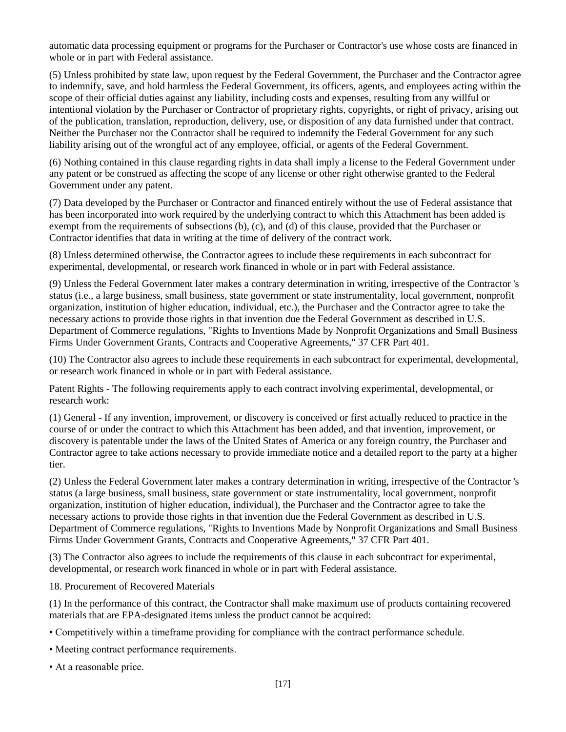automatic data processing equipment or programs for the Purchaser or Contractor's use whose costs are financed in whole or in part with Federal assistance.

(5) Unless prohibited by state law, upon request by the Federal Government, the Purchaser and the Contractor agree to indemnify, save, and hold harmless the Federal Government, its officers, agents, and employees acting within the scope of their official duties against any liability, including costs and expenses, resulting from any willful or intentional violation by the Purchaser or Contractor of proprietary rights, copyrights, or right of privacy, arising out of the publication, translation, reproduction, delivery, use, or disposition of any data furnished under that contract. Neither the Purchaser nor the Contractor shall be required to indemnify the Federal Government for any such liability arising out of the wrongful act of any employee, official, or agents of the Federal Government.

(6) Nothing contained in this clause regarding rights in data shall imply a license to the Federal Government under any patent or be construed as affecting the scope of any license or other right otherwise granted to the Federal Government under any patent.

(7) Data developed by the Purchaser or Contractor and financed entirely without the use of Federal assistance that has been incorporated into work required by the underlying contract to which this Attachment has been added is exempt from the requirements of subsections (b), (c), and (d) of this clause, provided that the Purchaser or Contractor identifies that data in writing at the time of delivery of the contract work.

(8) Unless determined otherwise, the Contractor agrees to include these requirements in each subcontract for experimental, developmental, or research work financed in whole or in part with Federal assistance.

(9) Unless the Federal Government later makes a contrary determination in writing, irrespective of the Contractor 's status (i.e., a large business, small business, state government or state instrumentality, local government, nonprofit organization, institution of higher education, individual, etc.), the Purchaser and the Contractor agree to take the necessary actions to provide those rights in that invention due the Federal Government as described in U.S. Department of Commerce regulations, "Rights to Inventions Made by Nonprofit Organizations and Small Business Firms Under Government Grants, Contracts and Cooperative Agreements," 37 CFR Part 401.

(10) The Contractor also agrees to include these requirements in each subcontract for experimental, developmental, or research work financed in whole or in part with Federal assistance.

Patent Rights - The following requirements apply to each contract involving experimental, developmental, or research work:

(1) General - If any invention, improvement, or discovery is conceived or first actually reduced to practice in the course of or under the contract to which this Attachment has been added, and that invention, improvement, or discovery is patentable under the laws of the United States of America or any foreign country, the Purchaser and Contractor agree to take actions necessary to provide immediate notice and a detailed report to the party at a higher tier.

(2) Unless the Federal Government later makes a contrary determination in writing, irrespective of the Contractor 's status (a large business, small business, state government or state instrumentality, local government, nonprofit organization, institution of higher education, individual), the Purchaser and the Contractor agree to take the necessary actions to provide those rights in that invention due the Federal Government as described in U.S. Department of Commerce regulations, "Rights to Inventions Made by Nonprofit Organizations and Small Business Firms Under Government Grants, Contracts and Cooperative Agreements," 37 CFR Part 401.

(3) The Contractor also agrees to include the requirements of this clause in each subcontract for experimental, developmental, or research work financed in whole or in part with Federal assistance.

18. Procurement of Recovered Materials

(1) In the performance of this contract, the Contractor shall make maximum use of products containing recovered materials that are EPA-designated items unless the product cannot be acquired:

• Competitively within a timeframe providing for compliance with the contract performance schedule.

- Meeting contract performance requirements.
- At a reasonable price.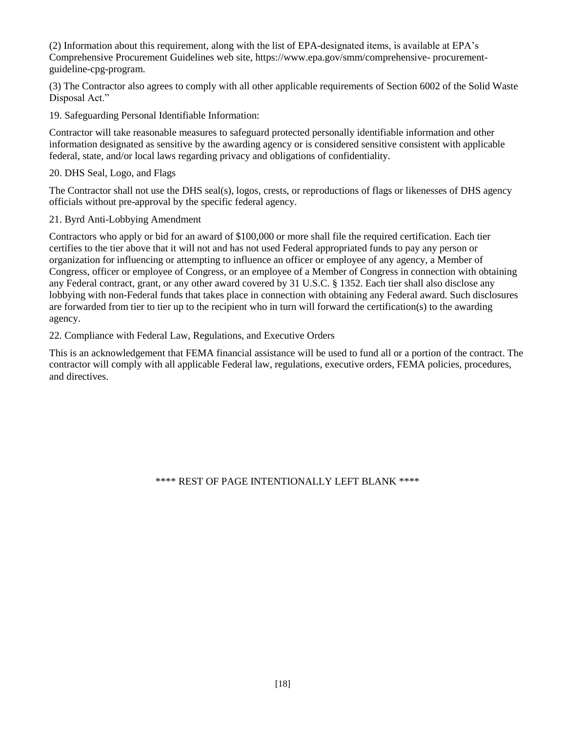(2) Information about this requirement, along with the list of EPA-designated items, is available at EPA's Comprehensive Procurement Guidelines web site, https://www.epa.gov/smm/comprehensive- procurementguideline-cpg-program.

(3) The Contractor also agrees to comply with all other applicable requirements of Section 6002 of the Solid Waste Disposal Act."

19. Safeguarding Personal Identifiable Information:

Contractor will take reasonable measures to safeguard protected personally identifiable information and other information designated as sensitive by the awarding agency or is considered sensitive consistent with applicable federal, state, and/or local laws regarding privacy and obligations of confidentiality.

#### 20. DHS Seal, Logo, and Flags

The Contractor shall not use the DHS seal(s), logos, crests, or reproductions of flags or likenesses of DHS agency officials without pre-approval by the specific federal agency.

#### 21. Byrd Anti-Lobbying Amendment

Contractors who apply or bid for an award of \$100,000 or more shall file the required certification. Each tier certifies to the tier above that it will not and has not used Federal appropriated funds to pay any person or organization for influencing or attempting to influence an officer or employee of any agency, a Member of Congress, officer or employee of Congress, or an employee of a Member of Congress in connection with obtaining any Federal contract, grant, or any other award covered by 31 U.S.C. § 1352. Each tier shall also disclose any lobbying with non-Federal funds that takes place in connection with obtaining any Federal award. Such disclosures are forwarded from tier to tier up to the recipient who in turn will forward the certification(s) to the awarding agency.

#### 22. Compliance with Federal Law, Regulations, and Executive Orders

This is an acknowledgement that FEMA financial assistance will be used to fund all or a portion of the contract. The contractor will comply with all applicable Federal law, regulations, executive orders, FEMA policies, procedures, and directives.

\*\*\*\* REST OF PAGE INTENTIONALLY LEFT BLANK \*\*\*\*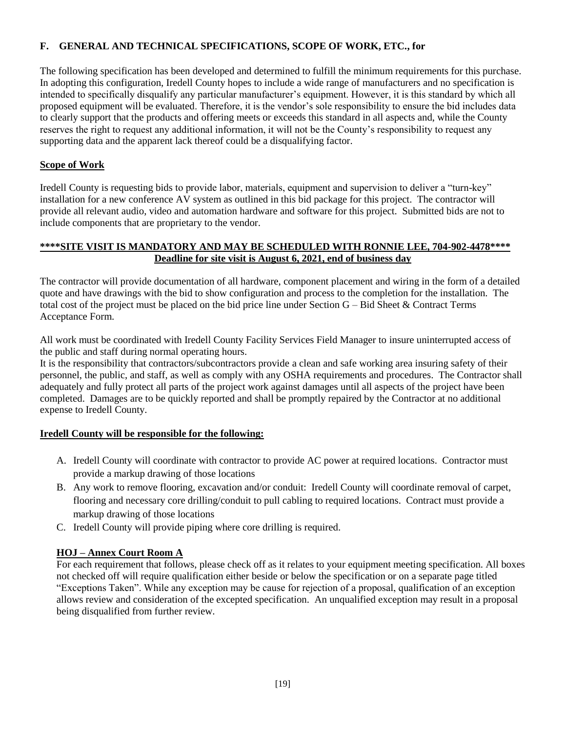# **F. GENERAL AND TECHNICAL SPECIFICATIONS, SCOPE OF WORK, ETC., for**

The following specification has been developed and determined to fulfill the minimum requirements for this purchase. In adopting this configuration, Iredell County hopes to include a wide range of manufacturers and no specification is intended to specifically disqualify any particular manufacturer's equipment. However, it is this standard by which all proposed equipment will be evaluated. Therefore, it is the vendor's sole responsibility to ensure the bid includes data to clearly support that the products and offering meets or exceeds this standard in all aspects and, while the County reserves the right to request any additional information, it will not be the County's responsibility to request any supporting data and the apparent lack thereof could be a disqualifying factor.

#### **Scope of Work**

Iredell County is requesting bids to provide labor, materials, equipment and supervision to deliver a "turn-key" installation for a new conference AV system as outlined in this bid package for this project. The contractor will provide all relevant audio, video and automation hardware and software for this project. Submitted bids are not to include components that are proprietary to the vendor.

#### **\*\*\*\*SITE VISIT IS MANDATORY AND MAY BE SCHEDULED WITH RONNIE LEE, 704-902-4478\*\*\*\* Deadline for site visit is August 6, 2021, end of business day**

The contractor will provide documentation of all hardware, component placement and wiring in the form of a detailed quote and have drawings with the bid to show configuration and process to the completion for the installation. The total cost of the project must be placed on the bid price line under Section G – Bid Sheet & Contract Terms Acceptance Form.

All work must be coordinated with Iredell County Facility Services Field Manager to insure uninterrupted access of the public and staff during normal operating hours.

It is the responsibility that contractors/subcontractors provide a clean and safe working area insuring safety of their personnel, the public, and staff, as well as comply with any OSHA requirements and procedures. The Contractor shall adequately and fully protect all parts of the project work against damages until all aspects of the project have been completed. Damages are to be quickly reported and shall be promptly repaired by the Contractor at no additional expense to Iredell County.

#### **Iredell County will be responsible for the following:**

- A. Iredell County will coordinate with contractor to provide AC power at required locations. Contractor must provide a markup drawing of those locations
- B. Any work to remove flooring, excavation and/or conduit: Iredell County will coordinate removal of carpet, flooring and necessary core drilling/conduit to pull cabling to required locations. Contract must provide a markup drawing of those locations
- C. Iredell County will provide piping where core drilling is required.

#### **HOJ – Annex Court Room A**

For each requirement that follows, please check off as it relates to your equipment meeting specification. All boxes not checked off will require qualification either beside or below the specification or on a separate page titled "Exceptions Taken". While any exception may be cause for rejection of a proposal, qualification of an exception allows review and consideration of the excepted specification. An unqualified exception may result in a proposal being disqualified from further review.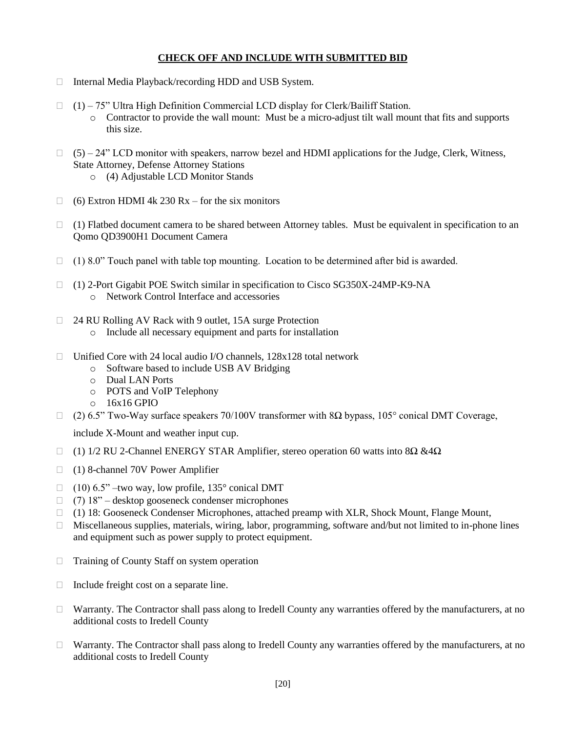#### **CHECK OFF AND INCLUDE WITH SUBMITTED BID**

- □ Internal Media Playback/recording HDD and USB System.
- $(1)$  75" Ultra High Definition Commercial LCD display for Clerk/Bailiff Station. o Contractor to provide the wall mount: Must be a micro-adjust tilt wall mount that fits and supports this size.
- $\Box$  (5) 24" LCD monitor with speakers, narrow bezel and HDMI applications for the Judge, Clerk, Witness, State Attorney, Defense Attorney Stations
	- o (4) Adjustable LCD Monitor Stands
- $\Box$  (6) Extron HDMI 4k 230 Rx for the six monitors
- $\Box$  (1) Flatbed document camera to be shared between Attorney tables. Must be equivalent in specification to an Qomo QD3900H1 Document Camera
- $\Box$  (1) 8.0" Touch panel with table top mounting. Location to be determined after bid is awarded.
- (1) 2-Port Gigabit POE Switch similar in specification to Cisco SG350X-24MP-K9-NA o Network Control Interface and accessories
- □ 24 RU Rolling AV Rack with 9 outlet, 15A surge Protection
	- o Include all necessary equipment and parts for installation
- $\Box$  Unified Core with 24 local audio I/O channels, 128x128 total network
	- o Software based to include USB AV Bridging
	- o Dual LAN Ports
	- o POTS and VoIP Telephony
	- $o$  16x16 GPIO
- $\Box$  (2) 6.5" Two-Way surface speakers 70/100V transformer with 8Ω bypass, 105° conical DMT Coverage,

include X-Mount and weather input cup.

- $\Box$  (1) 1/2 RU 2-Channel ENERGY STAR Amplifier, stereo operation 60 watts into 8Ω &4Ω
- (1) 8-channel 70V Power Amplifier
- $\Box$  (10) 6.5" –two way, low profile, 135° conical DMT
- $\Box$  (7) 18" desktop gooseneck condenser microphones
- (1) 18: Gooseneck Condenser Microphones, attached preamp with XLR, Shock Mount, Flange Mount,
- $\Box$  Miscellaneous supplies, materials, wiring, labor, programming, software and/but not limited to in-phone lines and equipment such as power supply to protect equipment.
- $\Box$  Training of County Staff on system operation
- $\Box$  Include freight cost on a separate line.
- Warranty. The Contractor shall pass along to Iredell County any warranties offered by the manufacturers, at no additional costs to Iredell County
- $\Box$  Warranty. The Contractor shall pass along to Iredell County any warranties offered by the manufacturers, at no additional costs to Iredell County